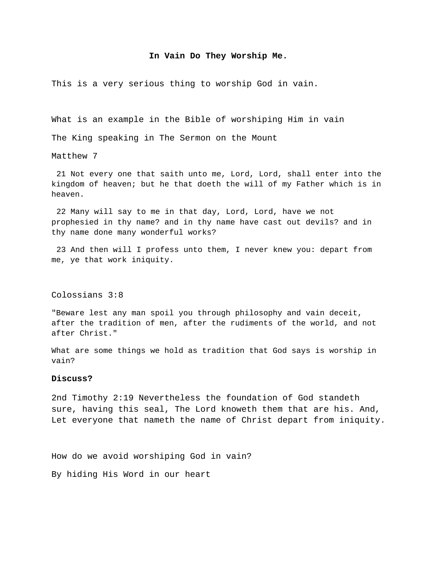## **In Vain Do They Worship Me.**

This is a very serious thing to worship God in vain.

What is an example in the Bible of worshiping Him in vain

The King speaking in The Sermon on the Mount

Matthew 7

 21 Not every one that saith unto me, Lord, Lord, shall enter into the kingdom of heaven; but he that doeth the will of my Father which is in heaven.

 22 Many will say to me in that day, Lord, Lord, have we not prophesied in thy name? and in thy name have cast out devils? and in thy name done many wonderful works?

 23 And then will I profess unto them, I never knew you: depart from me, ye that work iniquity.

Colossians 3:8

"Beware lest any man spoil you through philosophy and vain deceit, after the tradition of men, after the rudiments of the world, and not after Christ."

What are some things we hold as tradition that God says is worship in vain?

## **Discuss?**

2nd Timothy 2:19 Nevertheless the foundation of God standeth sure, having this seal, The Lord knoweth them that are his. And, Let everyone that nameth the name of Christ depart from iniquity.

How do we avoid worshiping God in vain?

By hiding His Word in our heart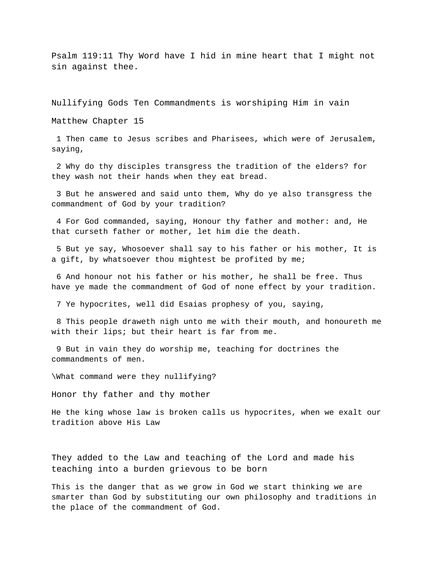Psalm 119:11 Thy Word have I hid in mine heart that I might not sin against thee.

Nullifying Gods Ten Commandments is worshiping Him in vain

Matthew Chapter 15

 1 Then came to Jesus scribes and Pharisees, which were of Jerusalem, saying,

 2 Why do thy disciples transgress the tradition of the elders? for they wash not their hands when they eat bread.

 3 But he answered and said unto them, Why do ye also transgress the commandment of God by your tradition?

 4 For God commanded, saying, Honour thy father and mother: and, He that curseth father or mother, let him die the death.

 5 But ye say, Whosoever shall say to his father or his mother, It is a gift, by whatsoever thou mightest be profited by me;

 6 And honour not his father or his mother, he shall be free. Thus have ye made the commandment of God of none effect by your tradition.

7 Ye hypocrites, well did Esaias prophesy of you, saying,

 8 This people draweth nigh unto me with their mouth, and honoureth me with their lips; but their heart is far from me.

 9 But in vain they do worship me, teaching for doctrines the commandments of men.

\What command were they nullifying?

Honor thy father and thy mother

He the king whose law is broken calls us hypocrites, when we exalt our tradition above His Law

They added to the Law and teaching of the Lord and made his teaching into a burden grievous to be born

This is the danger that as we grow in God we start thinking we are smarter than God by substituting our own philosophy and traditions in the place of the commandment of God.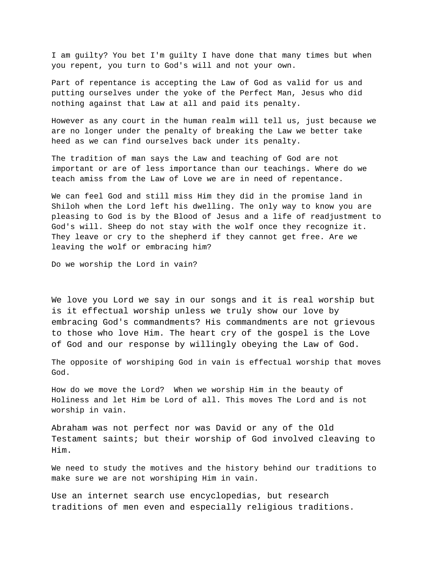I am guilty? You bet I'm guilty I have done that many times but when you repent, you turn to God's will and not your own.

Part of repentance is accepting the Law of God as valid for us and putting ourselves under the yoke of the Perfect Man, Jesus who did nothing against that Law at all and paid its penalty.

However as any court in the human realm will tell us, just because we are no longer under the penalty of breaking the Law we better take heed as we can find ourselves back under its penalty.

The tradition of man says the Law and teaching of God are not important or are of less importance than our teachings. Where do we teach amiss from the Law of Love we are in need of repentance.

We can feel God and still miss Him they did in the promise land in Shiloh when the Lord left his dwelling. The only way to know you are pleasing to God is by the Blood of Jesus and a life of readjustment to God's will. Sheep do not stay with the wolf once they recognize it. They leave or cry to the shepherd if they cannot get free. Are we leaving the wolf or embracing him?

Do we worship the Lord in vain?

We love you Lord we say in our songs and it is real worship but is it effectual worship unless we truly show our love by embracing God's commandments? His commandments are not grievous to those who love Him. The heart cry of the gospel is the Love of God and our response by willingly obeying the Law of God.

The opposite of worshiping God in vain is effectual worship that moves God.

How do we move the Lord? When we worship Him in the beauty of Holiness and let Him be Lord of all. This moves The Lord and is not worship in vain.

Abraham was not perfect nor was David or any of the Old Testament saints; but their worship of God involved cleaving to Him.

We need to study the motives and the history behind our traditions to make sure we are not worshiping Him in vain.

Use an internet search use encyclopedias, but research traditions of men even and especially religious traditions.